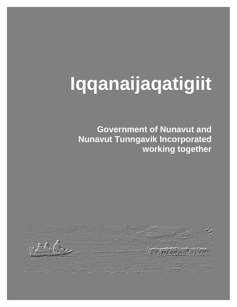# **Iqqanaijaqatigiit**

**Government of Nunavut and Nunavut Tunngavik Incorporated working together** 

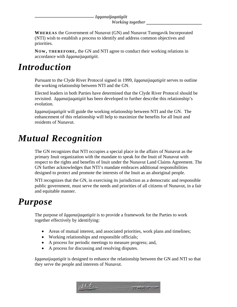#### *Iqqanaijaqatigiit Working together*

**WHEREAS** the Government of Nunavut (GN) and Nunavut Tunngavik Incorporated (NTI) wish to establish a process to identify and address common objectives and priorities.

**NOW, THEREFORE,** the GN and NTI agree to conduct their working relations in accordance with *Iqqanaijaqatigiit*.

### *Introduction*

Pursuant to the Clyde River Protocol signed in 1999, *Iqqanaijaqatigiit* serves to outline the working relationship between NTI and the GN.

Elected leaders in both Parties have determined that the Clyde River Protocol should be revisited. *Iqqanaijaqatigiit* has been developed to further describe this relationship's evolution.

*Iqqanaijaqatigiit* will guide the working relationship between NTI and the GN. The enhancement of this relationship will help to maximize the benefits for all Inuit and residents of Nunavut.

# *Mutual Recognition*

The GN recognizes that NTI occupies a special place in the affairs of Nunavut as the primary Inuit organization with the mandate to speak for the Inuit of Nunavut with respect to the rights and benefits of Inuit under the Nunavut Land Claims Agreement. The GN further acknowledges that NTI's mandate embraces additional responsibilities designed to protect and promote the interests of the Inuit as an aboriginal people.

NTI recognizes that the GN, in exercising its jurisdiction as a democratic and responsible public government, must serve the needs and priorities of all citizens of Nunavut, in a fair and equitable manner.

### *Purpose*

The purpose of *Iqqanaijaqatigiit* is to provide a framework for the Parties to work together effectively by identifying:

- Areas of mutual interest, and associated priorities, work plans and timelines;
- Working relationships and responsible officials;
- A process for periodic meetings to measure progress; and,
- A process for discussing and resolving disputes.

*Iqqanaijaqatigiit* is designed to enhance the relationship between the GN and NTI so that they serve the people and interests of Nunavut.

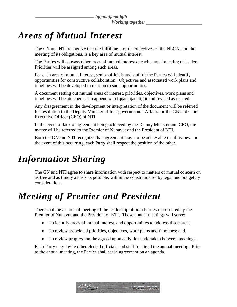# *Areas of Mutual Interest*

The GN and NTI recognize that the fulfillment of the objectives of the NLCA, and the meeting of its obligations, is a key area of mutual interest.

The Parties will canvass other areas of mutual interest at each annual meeting of leaders. Priorities will be assigned among such areas.

For each area of mutual interest, senior officials and staff of the Parties will identify opportunities for constructive collaboration. Objectives and associated work plans and timelines will be developed in relation to such opportunities.

A document setting out mutual areas of interest, priorities, objectives, work plans and timelines will be attached as an appendix to Iqqanaijaqatigiit and revised as needed.

Any disagreement in the development or interpretation of the document will be referred for resolution to the Deputy Minister of Intergovernmental Affairs for the GN and Chief Executive Officer (CEO) of NTI.

In the event of lack of agreement being achieved by the Deputy Minister and CEO, the matter will be referred to the Premier of Nunavut and the President of NTI.

Both the GN and NTI recognize that agreement may not be achievable on all issues. In the event of this occurring, each Party shall respect the position of the other.

# *Information Sharing*

The GN and NTI agree to share information with respect to matters of mutual concern on as free and as timely a basis as possible, within the constraints set by legal and budgetary considerations.

# *Meeting of Premier and President*

There shall be an annual meeting of the leadership of both Parties represented by the Premier of Nunavut and the President of NTI. These annual meetings will serve:

- To identify areas of mutual interest, and opportunities to address those areas;
- To review associated priorities, objectives, work plans and timelines; and,
- To review progress on the agreed upon activities undertaken between meetings.

Each Party may invite other elected officials and staff to attend the annual meeting. Prior to the annual meeting, the Parties shall reach agreement on an agenda.

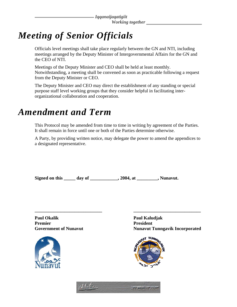*Iqqanaijaqatigiit Working together* 

# *Meeting of Senior Officials*

Officials level meetings shall take place regularly between the GN and NTI, including meetings arranged by the Deputy Minister of Intergovernmental Affairs for the GN and the CEO of NTI.

Meetings of the Deputy Minister and CEO shall be held at least monthly. Notwithstanding, a meeting shall be convened as soon as practicable following a request from the Deputy Minister or CEO.

The Deputy Minister and CEO may direct the establishment of any standing or special purpose staff level working groups that they consider helpful in facilitating interorganizational collaboration and cooperation.

### *Amendment and Term*

This Protocol may be amended from time to time in writing by agreement of the Parties. It shall remain in force until one or both of the Parties determine otherwise.

A Party, by providing written notice, may delegate the power to amend the appendices to a designated representative.

**\_\_\_\_\_\_\_\_\_\_\_\_\_\_\_\_\_\_\_\_\_\_\_\_\_\_\_\_\_ \_\_\_\_\_\_\_\_\_\_\_\_\_\_\_\_\_\_\_\_\_\_\_\_\_\_\_\_\_** 

| Signed on this | day of | , 2004, at | , Nunavut. |
|----------------|--------|------------|------------|
|                |        |            |            |

**Paul Okalik Paul Kaludjak**  Premier President



Government of Nunavut **Nunavut Nunavut Tunngavik Incorporated**